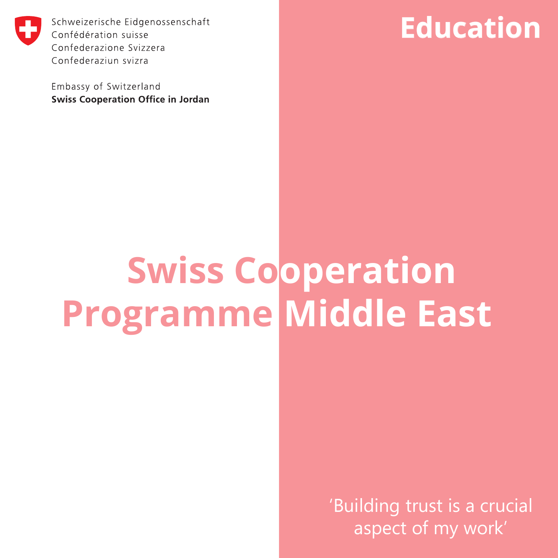

Schweizerische Eidgenossenschaft Confédération suisse Confederazione Svizzera Confederaziun svizra

Embassy of Switzerland **Swiss Cooperation Office in Jordan** 

# **Education**

# **Swiss Cooperation Programme Middle East**

'Building trust is a crucial aspect of my work'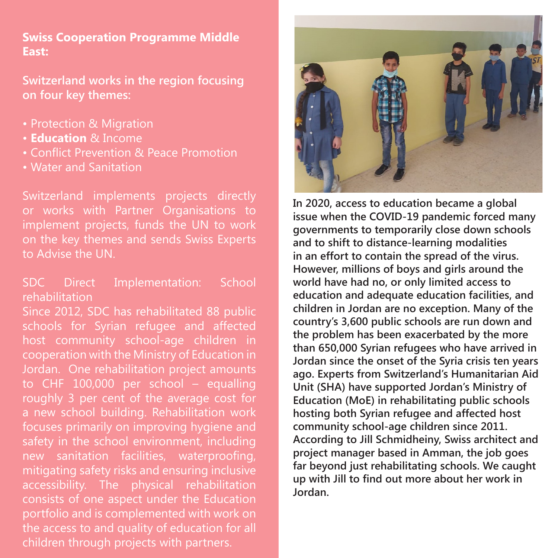## **Swiss Cooperation Programme Middle East:**

**Switzerland works in the region focusing on four key themes:** 

- Protection & Migration
- **Education** & Income
- Conflict Prevention & Peace Promotion
- Water and Sanitation

Switzerland implements projects directly or works with Partner Organisations to to Advise the UN.

# SDC Direct Implementation: School rehabilitation

Since 2012, SDC has rehabilitated 88 public schools for Syrian refugee and affected host community school-age children in cooperation with the Ministry of Education in Jordan. One rehabilitation project amounts to CHF 100,000 per school – equalling roughly 3 per cent of the average cost for a new school building. Rehabilitation work focuses primarily on improving hygiene and safety in the school environment, including new sanitation facilities, waterproofing, accessibility. The physical rehabilitation consists of one aspect under the Education portfolio and is complemented with work on the access to and quality of education for all children through projects with partners.



**In 2020, access to education became a global issue when the COVID-19 pandemic forced many governments to temporarily close down schools and to shift to distance-learning modalities in an effort to contain the spread of the virus. However, millions of boys and girls around the world have had no, or only limited access to education and adequate education facilities, and children in Jordan are no exception. Many of the country's 3,600 public schools are run down and the problem has been exacerbated by the more than 650,000 Syrian refugees who have arrived in Jordan since the onset of the Syria crisis ten years ago. Experts from Switzerland's Humanitarian Aid Unit (SHA) have supported Jordan's Ministry of Education (MoE) in rehabilitating public schools hosting both Syrian refugee and affected host community school-age children since 2011. According to Jill Schmidheiny, Swiss architect and project manager based in Amman, the job goes far beyond just rehabilitating schools. We caught up with Jill to find out more about her work in Jordan.**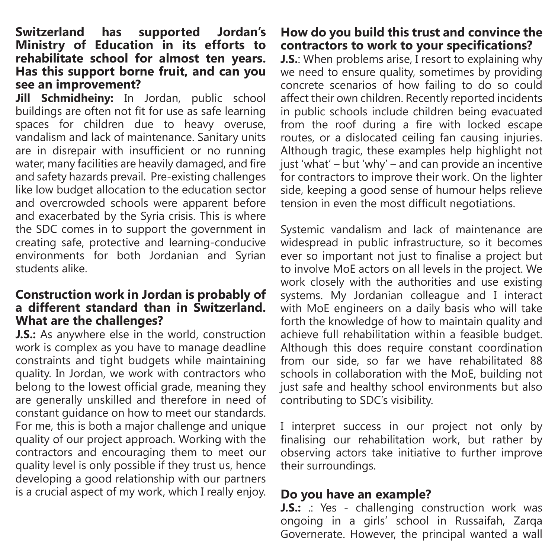#### **Switzerland has supported Jordan's Ministry of Education in its efforts to rehabilitate school for almost ten years. Has this support borne fruit, and can you see an improvement?**

**Jill Schmidheiny:** In Jordan, public school buildings are often not fit for use as safe learning spaces for children due to heavy overuse, vandalism and lack of maintenance. Sanitary units are in disrepair with insufficient or no running water, many facilities are heavily damaged, and fire and safety hazards prevail. Pre-existing challenges like low budget allocation to the education sector and overcrowded schools were apparent before and exacerbated by the Syria crisis. This is where the SDC comes in to support the government in creating safe, protective and learning-conducive environments for both Jordanian and Syrian students alike.

#### **Construction work in Jordan is probably of a different standard than in Switzerland. What are the challenges?**

**J.S.:** As anywhere else in the world, construction work is complex as you have to manage deadline constraints and tight budgets while maintaining quality. In Jordan, we work with contractors who belong to the lowest official grade, meaning they are generally unskilled and therefore in need of constant guidance on how to meet our standards. For me, this is both a major challenge and unique quality of our project approach. Working with the contractors and encouraging them to meet our quality level is only possible if they trust us, hence developing a good relationship with our partners is a crucial aspect of my work, which I really enjoy.

**How do you build this trust and convince the contractors to work to your specifications? J.S.**: When problems arise, I resort to explaining why we need to ensure quality, sometimes by providing concrete scenarios of how failing to do so could affect their own children. Recently reported incidents in public schools include children being evacuated from the roof during a fire with locked escape routes, or a dislocated ceiling fan causing injuries. Although tragic, these examples help highlight not just 'what' – but 'why' – and can provide an incentive for contractors to improve their work. On the lighter side, keeping a good sense of humour helps relieve tension in even the most difficult negotiations.

Systemic vandalism and lack of maintenance are widespread in public infrastructure, so it becomes ever so important not just to finalise a project but to involve MoE actors on all levels in the project. We work closely with the authorities and use existing systems. My Jordanian colleague and I interact with MoE engineers on a daily basis who will take forth the knowledge of how to maintain quality and achieve full rehabilitation within a feasible budget. Although this does require constant coordination from our side, so far we have rehabilitated 88 schools in collaboration with the MoE, building not just safe and healthy school environments but also contributing to SDC's visibility.

I interpret success in our project not only by finalising our rehabilitation work, but rather by observing actors take initiative to further improve their surroundings.

#### **Do you have an example?**

**J.S.:** .: Yes - challenging construction work was ongoing in a girls' school in Russaifah, Zarqa Governerate. However, the principal wanted a wall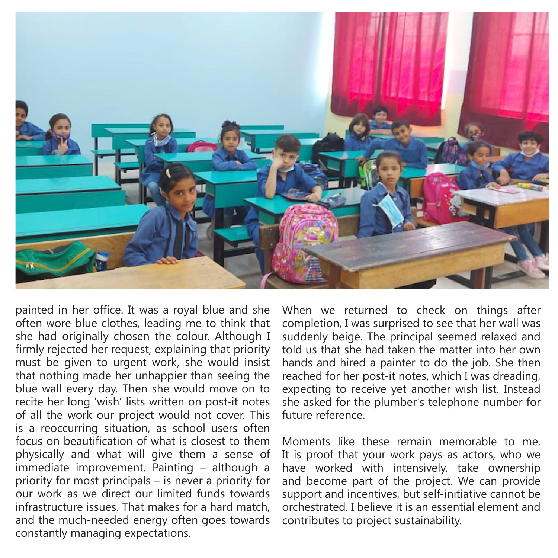

painted in her office. It was a royal blue and she often wore blue clothes, leading me to think that she had originally chosen the colour. Although I firmly rejected her request, explaining that priority must be given to urgent work, she would insist that nothing made her unhappier than seeing the blue wall every day. Then she would move on to recite her long 'wish' lists written on post-it notes of all the work our project would not cover. This is a reoccurring situation, as school users often focus on beautification of what is closest to them physically and what will give them a sense of immediate improvement. Painting – although a priority for most principals – is never a priority for our work as we direct our limited funds towards infrastructure issues. That makes for a hard match, and the much-needed energy often goes towards constantly managing expectations.

When we returned to check on things after completion, I was surprised to see that her wall was suddenly beige. The principal seemed relaxed and told us that she had taken the matter into her own hands and hired a painter to do the job. She then reached for her post-it notes, which I was dreading, expecting to receive yet another wish list. Instead she asked for the plumber's telephone number for future reference.

Moments like these remain memorable to me. It is proof that your work pays as actors, who we have worked with intensively, take ownership and become part of the project. We can provide support and incentives, but self-initiative cannot be orchestrated. I believe it is an essential element and contributes to project sustainability.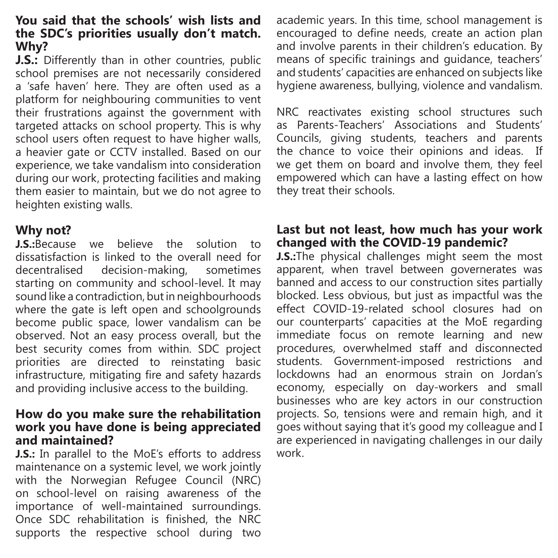#### **You said that the schools' wish lists and the SDC's priorities usually don't match. Why?**

**J.S.:** Differently than in other countries, public school premises are not necessarily considered a 'safe haven' here. They are often used as a platform for neighbouring communities to vent their frustrations against the government with targeted attacks on school property. This is why school users often request to have higher walls, a heavier gate or CCTV installed. Based on our experience, we take vandalism into consideration during our work, protecting facilities and making them easier to maintain, but we do not agree to heighten existing walls.

# **Why not?**

**J.S.:**Because we believe the solution to dissatisfaction is linked to the overall need for decentralised decision-making, sometimes starting on community and school-level. It may sound like a contradiction, but in neighbourhoods where the gate is left open and schoolgrounds become public space, lower vandalism can be observed. Not an easy process overall, but the best security comes from within. SDC project priorities are directed to reinstating basic infrastructure, mitigating fire and safety hazards and providing inclusive access to the building.

#### **How do you make sure the rehabilitation work you have done is being appreciated and maintained?**

**J.S.:** In parallel to the MoE's efforts to address maintenance on a systemic level, we work jointly with the Norwegian Refugee Council (NRC) on school-level on raising awareness of the importance of well-maintained surroundings. Once SDC rehabilitation is finished, the NRC supports the respective school during two academic years. In this time, school management is encouraged to define needs, create an action plan and involve parents in their children's education. By means of specific trainings and guidance, teachers' and students' capacities are enhanced on subjects like hygiene awareness, bullying, violence and vandalism.

NRC reactivates existing school structures such as Parents-Teachers' Associations and Students' Councils, giving students, teachers and parents the chance to voice their opinions and ideas. If we get them on board and involve them, they feel empowered which can have a lasting effect on how they treat their schools.

## **Last but not least, how much has your work changed with the COVID-19 pandemic?**

**J.S.:**The physical challenges might seem the most apparent, when travel between governerates was banned and access to our construction sites partially blocked. Less obvious, but just as impactful was the effect COVID-19-related school closures had on our counterparts' capacities at the MoE regarding immediate focus on remote learning and new procedures, overwhelmed staff and disconnected students. Government-imposed restrictions and lockdowns had an enormous strain on Jordan's economy, especially on day-workers and small businesses who are key actors in our construction projects. So, tensions were and remain high, and it goes without saying that it's good my colleague and I are experienced in navigating challenges in our daily work.